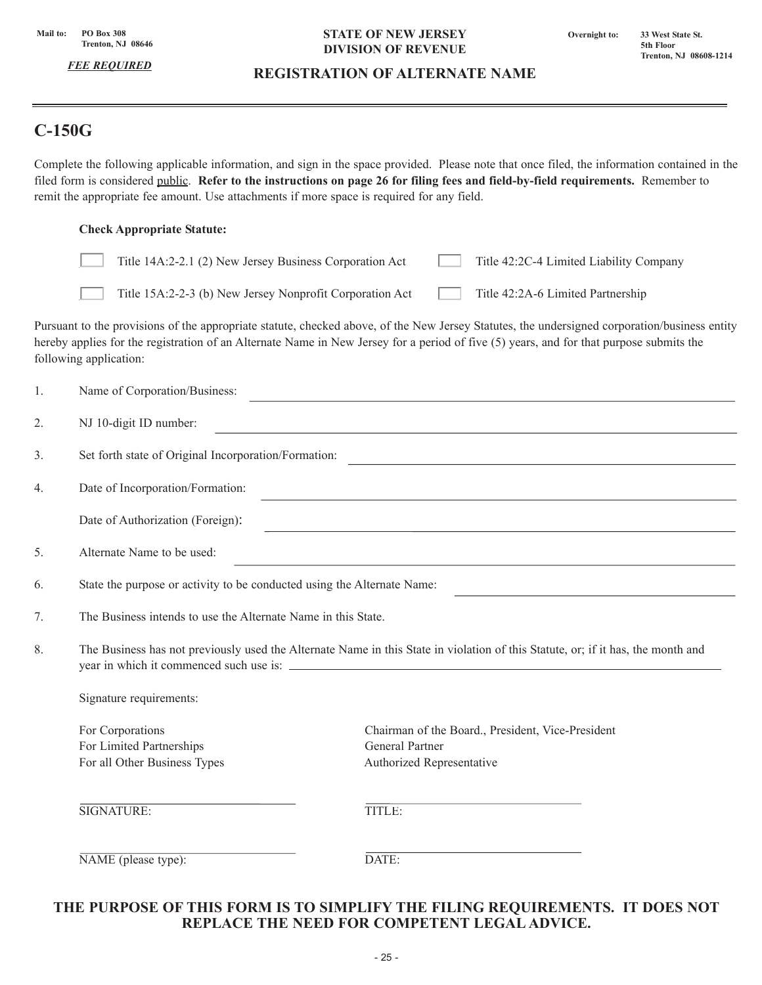*FEE REQUIRED*

#### **STATE OF NEW JERSEY DIVISION OF REVENUE**

# **REGISTRATION OF ALTERNATE NAME**

# **C-150G**

Complete the following applicable information, and sign in the space provided. Please note that once filed, the information contained in the filed form is considered public. **Refer to the instructions on page 26 for filing fees and field-by-field requirements.** Remember to remit the appropriate fee amount. Use attachments if more space is required for any field.

#### **Check Appropriate Statute:**

| Title 14A:2-2.1 (2) New Jersey Business Corporation Act  | Title 42:2C-4 Limited Liability Company |
|----------------------------------------------------------|-----------------------------------------|
| Title 15A:2-2-3 (b) New Jersey Nonprofit Corporation Act | Title 42:2A-6 Limited Partnership       |

Pursuant to the provisions of the appropriate statute, checked above, of the New Jersey Statutes, the undersigned corporation/business entity hereby applies for the registration of an Alternate Name in New Jersey for a period of five (5) years, and for that purpose submits the following application:

| 1. | Name of Corporation/Business:                                                                                                                                                                                                                                     |                                                                                                          |  |
|----|-------------------------------------------------------------------------------------------------------------------------------------------------------------------------------------------------------------------------------------------------------------------|----------------------------------------------------------------------------------------------------------|--|
| 2. | NJ 10-digit ID number:<br><u> 1989 - Johann Stoff, deutscher Stoff, der Stoff, der Stoff, der Stoff, der Stoff, der Stoff, der Stoff, der S</u>                                                                                                                   |                                                                                                          |  |
| 3. | Set forth state of Original Incorporation/Formation:                                                                                                                                                                                                              |                                                                                                          |  |
| 4. | Date of Incorporation/Formation:<br>the control of the control of the control of the control of the control of the control of the control of the control of the control of the control of the control of the control of the control of the control of the control |                                                                                                          |  |
|    | Date of Authorization (Foreign):                                                                                                                                                                                                                                  | ,我们也不会有什么。""我们的人,我们也不会有什么?""我们的人,我们也不会有什么?""我们的人,我们的人,我们的人,我们的人,我们的人,我们的人,我们的人,我                         |  |
| 5. | Alternate Name to be used:<br><u> 1989 - Andrea Stadt, fransk politik (d. 1989)</u>                                                                                                                                                                               |                                                                                                          |  |
| 6. | State the purpose or activity to be conducted using the Alternate Name:                                                                                                                                                                                           |                                                                                                          |  |
| 7. | The Business intends to use the Alternate Name in this State.                                                                                                                                                                                                     |                                                                                                          |  |
| 8. | The Business has not previously used the Alternate Name in this State in violation of this Statute, or; if it has, the month and<br>Signature requirements:                                                                                                       |                                                                                                          |  |
|    |                                                                                                                                                                                                                                                                   |                                                                                                          |  |
|    | For Corporations<br>For Limited Partnerships<br>For all Other Business Types                                                                                                                                                                                      | Chairman of the Board., President, Vice-President<br><b>General Partner</b><br>Authorized Representative |  |
|    | SIGNATURE:                                                                                                                                                                                                                                                        | TITLE:                                                                                                   |  |
|    | NAME (please type):                                                                                                                                                                                                                                               | DATE:                                                                                                    |  |

# **THE PURPOSE OF THIS FORM IS TO SIMPLIFY THE FILING REQUIREMENTS. IT DOES NOT REPLACE THE NEED FOR COMPETENT LEGAL ADVICE.**